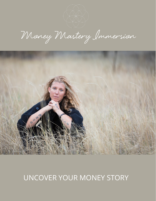Money Mastery Immersion



# UNCOVER YOUR MONEY STORY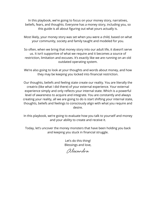In this playbook, we're going to focus on your money story, narratives, beliefs, fears, and thoughts. Everyone has a money story, including you, so this guide is all about figuring out what yours actually is.

Most likely, your money story was set when you were a child, based on what your community, society and family taught and modeled for you.

So often, when we bring that money story into our adult life, it doesn't serve us. It isn't supportive of what we require and it becomes a source of restriction, limitation and excuses. It's exactly like we are running on an old outdated operating system.

We're also going to look at your thoughts and words about money, and how they may be keeping you locked into financial restriction.

Our thoughts, beliefs and feeling state create our reality. You are literally the creatrix (like what I did there) of your external experience. Your external experience simply and only reflects your internal state. Which is a powerful level of awareness to acquire and integrate. You are constantly and always creating your reality, all we are going to do is start shifting your internal state, thoughts, beliefs and feelings to consciously align with what you require and desire.

In this playbook, we're going to evaluate how you talk to yourself and money and your ability to create and receive it.

Today, let's uncover the money monsters that have been holding you back and keeping you stuck in financial struggle.

> Let's do this thing! Blessings and love,

Alexandra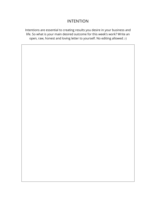# INTENTION

Intentions are essential to creating results you desire in your business and life. So what is your main desired outcome for this week's work? Write an open, raw, honest and loving letter to yourself. No editing allowed ;-)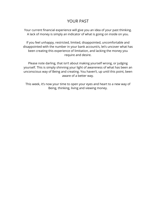# YOUR PAST

Your current financial experience will give you an idea of your past thinking. A lack of money is simply an indicator of what is going on inside on you.

If you feel unhappy, restricted, limited, disappointed, uncomfortable and disappointed with the number in your bank account/s, let's uncover what has been creating this experience of limitation, and lacking the money you require and desire.

Please note darling, that isn't about making yourself wrong, or judging yourself. This is simply shinning your light of awareness of what has been an unconscious way of Being and creating. You haven't, up until this point, been aware of a better way.

This week, it's now your time to open your eyes and heart to a new way of Being, thinking, living and viewing money.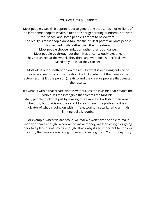#### YOUR WEALTH BLUEPRINT

Most people's wealth blueprint is set to generating thousands, not millions of dollars; some people's wealth blueprint is for generating hundreds, not even thousands; and some people's are set to below zero. The reality is most people don't tap into their fullest potential. Most people choose mediocrity, rather than their greatness. Most people choose limitation rather than abundance. Most people go throughout their lives unconsciously creating. They are asleep at the wheel. They think and work on a superficial level – based only on what they can see.

Most of us but our attention on the results, what is occurring outside of ourselves, we focus on the creation itself. But what is it that creates the actual results? It's the person (creatrix) and the creative process that creates the results.

It's what is within that create what is without. It's the invisible that creates the visible. It's the intangible that creates the tangible. Many people think that just by making more money, it will shift their wealth blueprint, but that is not the case. Money is never the problem – it is an indicator of what is going on within – fear, worry, insecurity, who-am-I-itis, limiting beliefs, doubt.

For example, when we are broke, we fear we won't ever be able to make money or have enough. When we do make money, we fear losing it or going back to a place of not having enough. That's why it's so important to uncover the story that you are operating under and creating from. Your money story.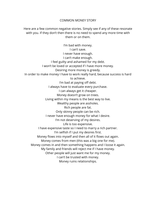#### COMMON MONEY STORY

Here are a few common negative stories. Simply see if any of these resonate with you. If they don't then there is no need to spend any more time with them or on them.

I'm bad with money. I can't save. I never have enough. I can't make enough. I feel guilty and ashamed for my debt. I won't be loved or accepted if I have more money. Desiring more money is greedy. In order to make money I have to work really hard, because success is hard to achieve. I'm bad at paying off debt. I always have to evaluate every purchase. I can always get it cheaper. Money doesn't grow on trees. Living within my means is the best way to live. Wealthy people are assholes. Rich people are fat. Only skinny people can be rich. I never have enough money for what I desire. I'm not deserving of my desires. Life is too expensive. I have expensive taste so I need to marry a rich partner. I'm selfish if I put my desires first. Money flows into myself and then all of it flows out again. Money comes from men (this was a big one for me). Money comes in and then something happens and I loose it again. My family and friends will reject me if I have money. Other people will just want me for my money. I can't be trusted with money. Money ruins relationships.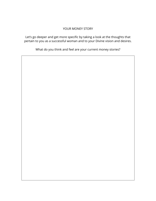#### YOUR MONEY STORY

Let's go deeper and get more specific by taking a look at the thoughts that pertain to you as a successful woman and to your Divine vision and desires.

What do you think and feel are your current money stories?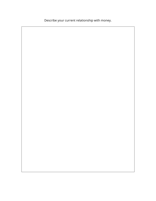Describe your current relationship with money.

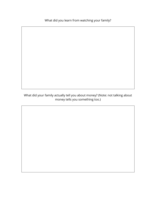What did you learn from watching your family?

What did your family actually tell you about money? (Note: not talking about money tells you something too.)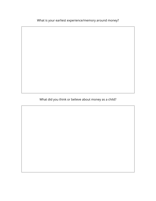What is your earliest experience/memory around money?

What did you think or believe about money as a child?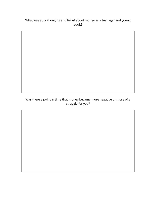### What was your thoughts and belief about money as a teenager and young adult?

Was there a point in time that money became more negative or more of a struggle for you?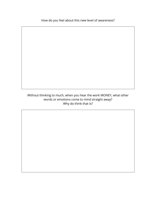How do you feel about this new level of awareness?

Without thinking to much, when you hear the work MONEY, what other words or emotions come to mind straight away? Why do think that is?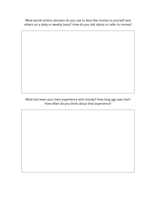What words and/or phrases do you use to describe money to yourself and others on a daily or weekly basis? How do you talk about or refer to money?

What has been your best experience with money? How long ago was that? How often do you think about that experience?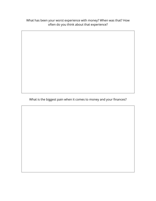What has been your worst experience with money? When was that? How often do you think about that experience?

What is the biggest pain when it comes to money and your finances?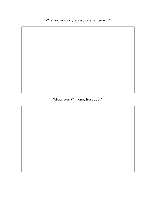What and who do you associate money with?

# What's your #1 money frustration?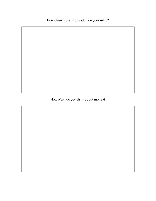How often is that frustration on your mind?

# How often do you think about money?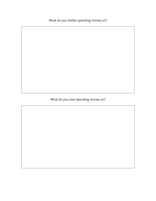What do you dislike spending money on?

# What do you love spending money on?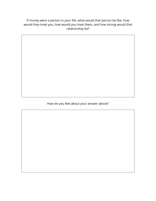If money were a person in your life, what would that person be like, how would they treat you, how would you treat them, and how strong would that relationship be?

How do you feel about your answer above?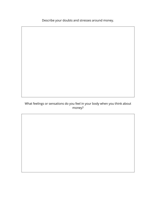Describe your doubts and stresses around money.

## What feelings or sensations do you feel in your body when you think about money?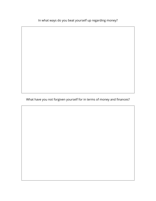In what ways do you beat yourself up regarding money?

What have you not forgiven yourself for in terms of money and finances?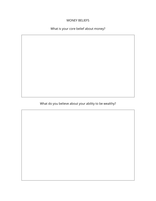#### MONEY BELIEFS

# What is your core belief about money?

What do you believe about your ability to be wealthy?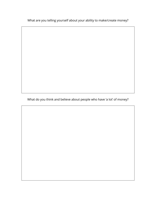What are you telling yourself about your ability to make/create money?

What do you think and believe about people who have 'a lot' of money?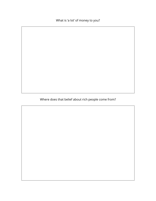What is 'a lot' of money to you?

Where does that belief about rich people come from?

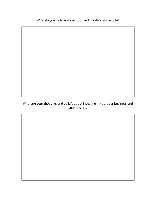What do you believe about poor and middle class people?

## What are your thoughts and beliefs about investing in you, your business and your desires?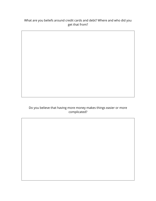## What are you beliefs around credit cards and debt? Where and who did you get that from?

## Do you believe that having more money makes things easier or more complicated?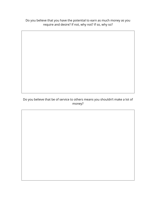Do you believe that you have the potential to earn as much money as you require and desire? If not, why not? If so, why so?

Do you believe that be of service to others means you shouldn't make a lot of money?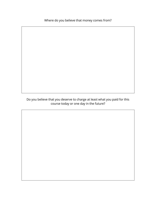Where do you believe that money comes from?

Do you believe that you deserve to charge at least what you paid for this course today or one day in the future?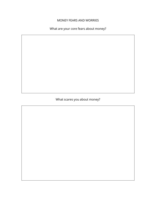#### MONEY FEARS AND WORRIES

What are your core fears about money?

What scares you about money?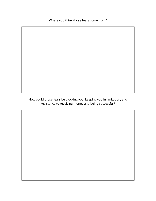Where you think those fears come from?

How could those fears be blocking you, keeping you in limitation, and resistance to receiving money and being successful?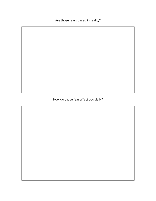Are those fears based in reality?

# How do those fear affect you daily?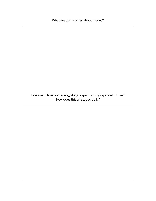What are you worries about money?

## How much time and energy do you spend worrying about money? How does this affect you daily?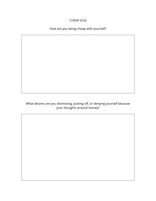## CHEAP (ICK)

# How are you being cheap with yourself?

What desires are you dismissing, putting off, or denying yourself because your thoughts around money?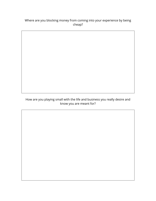## Where are you blocking money from coming into your experience by being cheap?

How are you playing small with the life and business you really desire and know you are meant for?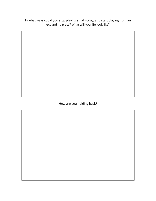In what ways could you stop playing small today, and start playing from an expanding place? What will you life look like?

How are you holding back?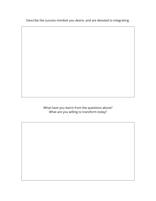Describe the success mindset you desire, and are devoted to integrating.

What have you learnt from the questions above? What are you willing to transform today?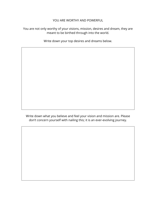#### YOU ARE WORTHY AND POWERFUL

#### You are not only worthy of your visions, mission, desires and dream, they are meant to be birthed through into the world.

Write down your top desires and dreams below.

Write down what you believe and feel your vision and mission are. Please don't concern yourself with nailing this; it is an ever-evolving journey.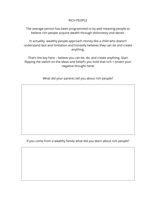#### RICH PEOPLE

The average person has been programmed to by well meaning people to believe rich people acquire wealth through dishonesty and deceit.

In actuality, wealthy people approach money like a child who doesn't understand lack and limitation and honestly believes they can do and create anything.

That's the key here – believe you can be, do, and create anything. Start flipping the switch on the ideas and belief's you hold that rich = (insert your negative thought here)

What did your parents tell you about rich people?

If you come from a wealthy family what did you learn about rich people?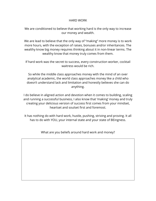#### HARD WORK

We are conditioned to believe that working hard is the only way to increase our money and wealth.

We are lead to believe that the only way of "making" more money is to work more hours, with the exception of raises, bonuses and/or inheritances. The wealthy know big money requires thinking about it in non-linear terms. The wealthy know that money truly comes from them.

If hard work was the secret to success, every construction worker, cocktail waitress would be rich.

So while the middle class approaches money with the mind of an over analytical academic, the world class approaches money like a child who doesn't understand lack and limitation and honestly believes she can do anything.

I do believe in aligned action and devotion when it comes to building, scaling and running a successful business, I also know that 'making' money and truly creating your delicious version of success first comes from your mindset, heartset and soulset first and foremost.

It has nothing do with hard work, hustle, pushing, striving and proving. It all has to do with YOU, your internal state and your state of BEingness.

What are you beliefs around hard work and money?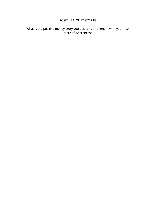#### POSITIVE MONEY STORIES

## What is the positive money story you desire to implement with your new state of awareness?